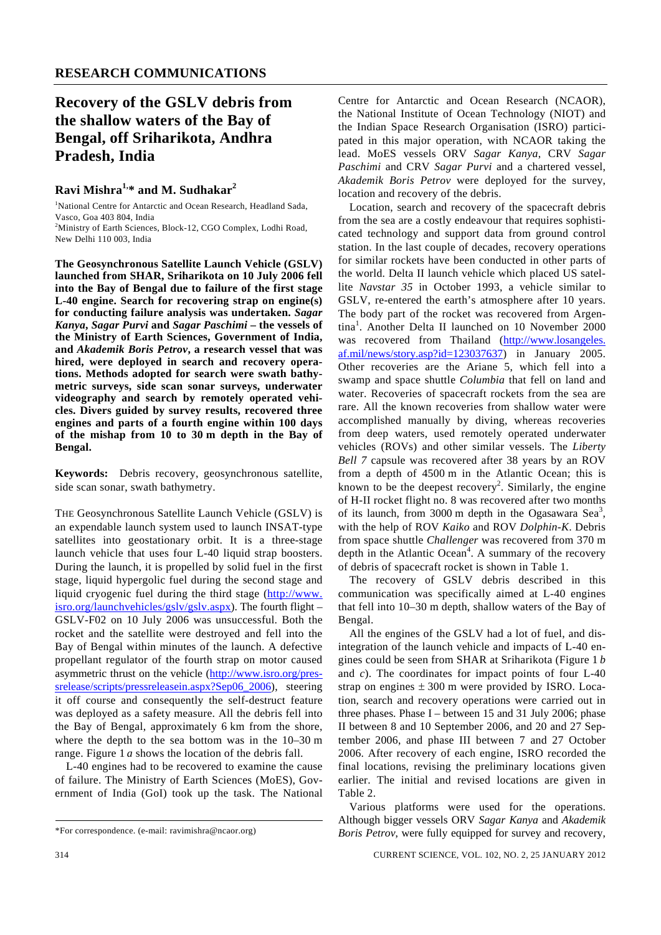# **Recovery of the GSLV debris from the shallow waters of the Bay of Bengal, off Sriharikota, Andhra Pradesh, India**

### **Ravi Mishra1,\* and M. Sudhakar2**

<sup>1</sup>National Centre for Antarctic and Ocean Research, Headland Sada, Vasco, Goa 403 804, India

<sup>2</sup>Ministry of Earth Sciences, Block-12, CGO Complex, Lodhi Road, New Delhi 110 003, India

**The Geosynchronous Satellite Launch Vehicle (GSLV) launched from SHAR, Sriharikota on 10 July 2006 fell into the Bay of Bengal due to failure of the first stage L-40 engine. Search for recovering strap on engine(s) for conducting failure analysis was undertaken.** *Sagar Kanya***,** *Sagar Purvi* **and** *Sagar Paschimi* **– the vessels of the Ministry of Earth Sciences, Government of India, and** *Akademik Boris Petrov***, a research vessel that was hired, were deployed in search and recovery operations. Methods adopted for search were swath bathymetric surveys, side scan sonar surveys, underwater videography and search by remotely operated vehicles. Divers guided by survey results, recovered three engines and parts of a fourth engine within 100 days of the mishap from 10 to 30 m depth in the Bay of Bengal.** 

**Keywords:** Debris recovery, geosynchronous satellite, side scan sonar, swath bathymetry.

THE Geosynchronous Satellite Launch Vehicle (GSLV) is an expendable launch system used to launch INSAT-type satellites into geostationary orbit. It is a three-stage launch vehicle that uses four L-40 liquid strap boosters. During the launch, it is propelled by solid fuel in the first stage, liquid hypergolic fuel during the second stage and liquid cryogenic fuel during the third stage (http://www. isro.org/launchvehicles/gslv/gslv.aspx). The fourth flight – GSLV-F02 on 10 July 2006 was unsuccessful. Both the rocket and the satellite were destroyed and fell into the Bay of Bengal within minutes of the launch. A defective propellant regulator of the fourth strap on motor caused asymmetric thrust on the vehicle (http://www.isro.org/pressrelease/scripts/pressreleasein.aspx?Sep06\_2006), steering it off course and consequently the self-destruct feature was deployed as a safety measure. All the debris fell into the Bay of Bengal, approximately 6 km from the shore, where the depth to the sea bottom was in the 10–30 m range. Figure 1 *a* shows the location of the debris fall.

 L-40 engines had to be recovered to examine the cause of failure. The Ministry of Earth Sciences (MoES), Government of India (GoI) took up the task. The National Centre for Antarctic and Ocean Research (NCAOR), the National Institute of Ocean Technology (NIOT) and the Indian Space Research Organisation (ISRO) participated in this major operation, with NCAOR taking the lead. MoES vessels ORV *Sagar Kanya*, CRV *Sagar Paschimi* and CRV *Sagar Purvi* and a chartered vessel, *Akademik Boris Petrov* were deployed for the survey, location and recovery of the debris.

 Location, search and recovery of the spacecraft debris from the sea are a costly endeavour that requires sophisticated technology and support data from ground control station. In the last couple of decades, recovery operations for similar rockets have been conducted in other parts of the world. Delta II launch vehicle which placed US satellite *Navstar 35* in October 1993, a vehicle similar to GSLV, re-entered the earth's atmosphere after 10 years. The body part of the rocket was recovered from Argentina<sup>1</sup>. Another Delta II launched on 10 November 2000 was recovered from Thailand (http://www.losangeles. af.mil/news/story.asp?id=123037637) in January 2005. Other recoveries are the Ariane 5, which fell into a swamp and space shuttle *Columbia* that fell on land and water. Recoveries of spacecraft rockets from the sea are rare. All the known recoveries from shallow water were accomplished manually by diving, whereas recoveries from deep waters, used remotely operated underwater vehicles (ROVs) and other similar vessels. The *Liberty Bell 7* capsule was recovered after 38 years by an ROV from a depth of 4500 m in the Atlantic Ocean; this is known to be the deepest recovery<sup>2</sup>. Similarly, the engine of H-II rocket flight no. 8 was recovered after two months of its launch, from 3000 m depth in the Ogasawara Sea<sup>3</sup>, with the help of ROV *Kaiko* and ROV *Dolphin-K*. Debris from space shuttle *Challenger* was recovered from 370 m depth in the Atlantic Ocean $4$ . A summary of the recovery of debris of spacecraft rocket is shown in Table 1.

 The recovery of GSLV debris described in this communication was specifically aimed at L-40 engines that fell into 10–30 m depth, shallow waters of the Bay of Bengal.

 All the engines of the GSLV had a lot of fuel, and disintegration of the launch vehicle and impacts of L-40 engines could be seen from SHAR at Sriharikota (Figure 1 *b* and *c*). The coordinates for impact points of four L-40 strap on engines  $\pm 300$  m were provided by ISRO. Location, search and recovery operations were carried out in three phases. Phase I – between 15 and 31 July 2006; phase II between 8 and 10 September 2006, and 20 and 27 September 2006, and phase III between 7 and 27 October 2006. After recovery of each engine, ISRO recorded the final locations, revising the preliminary locations given earlier. The initial and revised locations are given in Table 2.

 Various platforms were used for the operations. Although bigger vessels ORV *Sagar Kanya* and *Akademik Boris Petrov*, were fully equipped for survey and recovery,

<sup>\*</sup>For correspondence. (e-mail: ravimishra@ncaor.org)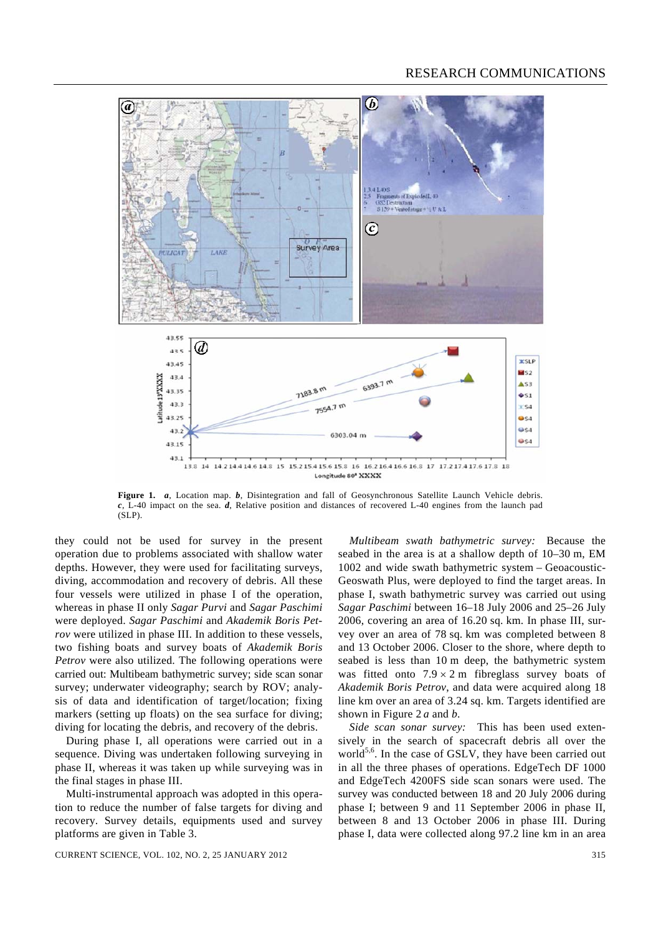

**Figure 1.** *a*, Location map. *b*, Disintegration and fall of Geosynchronous Satellite Launch Vehicle debris. *c*, L-40 impact on the sea. *d*, Relative position and distances of recovered L-40 engines from the launch pad (SLP).

they could not be used for survey in the present operation due to problems associated with shallow water depths. However, they were used for facilitating surveys, diving, accommodation and recovery of debris. All these four vessels were utilized in phase I of the operation, whereas in phase II only *Sagar Purvi* and *Sagar Paschimi* were deployed. *Sagar Paschimi* and *Akademik Boris Petrov* were utilized in phase III. In addition to these vessels, two fishing boats and survey boats of *Akademik Boris Petrov* were also utilized. The following operations were carried out: Multibeam bathymetric survey; side scan sonar survey; underwater videography; search by ROV; analysis of data and identification of target/location; fixing markers (setting up floats) on the sea surface for diving; diving for locating the debris, and recovery of the debris.

 During phase I, all operations were carried out in a sequence. Diving was undertaken following surveying in phase II, whereas it was taken up while surveying was in the final stages in phase III.

 Multi-instrumental approach was adopted in this operation to reduce the number of false targets for diving and recovery. Survey details, equipments used and survey platforms are given in Table 3.

seabed in the area is at a shallow depth of 10–30 m, EM 1002 and wide swath bathymetric system – Geoacoustic-Geoswath Plus, were deployed to find the target areas. In phase I, swath bathymetric survey was carried out using *Sagar Paschimi* between 16–18 July 2006 and 25–26 July 2006, covering an area of 16.20 sq. km. In phase III, survey over an area of 78 sq. km was completed between 8 and 13 October 2006. Closer to the shore, where depth to seabed is less than 10 m deep, the bathymetric system was fitted onto  $7.9 \times 2$  m fibreglass survey boats of *Akademik Boris Petrov*, and data were acquired along 18 line km over an area of 3.24 sq. km. Targets identified are shown in Figure 2 *a* and *b*.

*Multibeam swath bathymetric survey:* Because the

*Side scan sonar survey:* This has been used extensively in the search of spacecraft debris all over the world<sup>5,6</sup>. In the case of GSLV, they have been carried out in all the three phases of operations. EdgeTech DF 1000 and EdgeTech 4200FS side scan sonars were used. The survey was conducted between 18 and 20 July 2006 during phase I; between 9 and 11 September 2006 in phase II, between 8 and 13 October 2006 in phase III. During phase I, data were collected along 97.2 line km in an area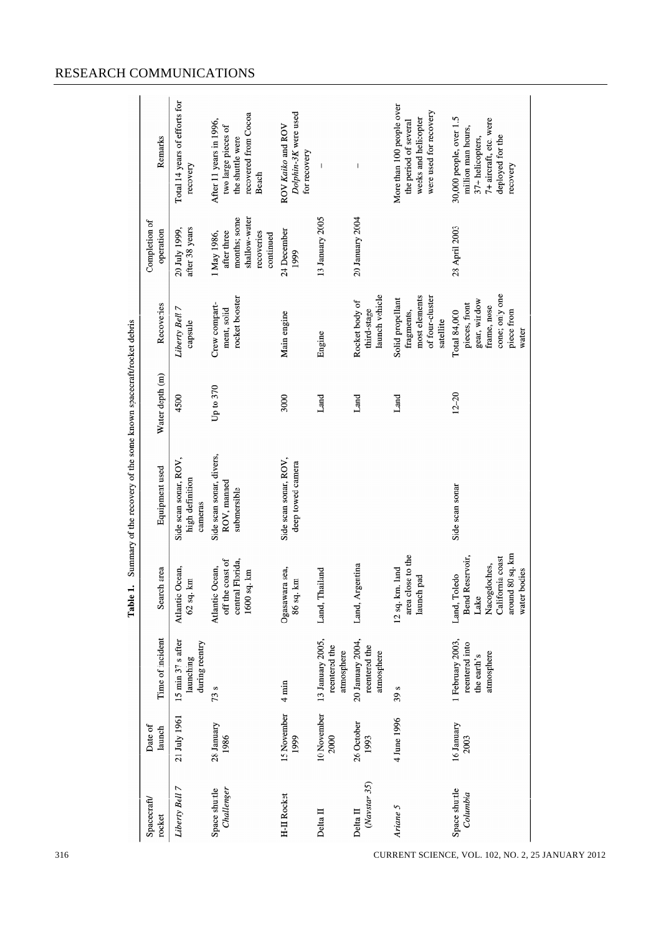|                                                                                       | Remarks                    | Total 14 years of efforts for<br>recovery           | recovered from Cocoa<br>After 11 years in 1996,<br>two large pieces of<br>the shuttle were<br><b>Beach</b> | Dolphin-3K were used<br>ROV Kaiko and ROV<br>for recovery |                                                 | $\begin{array}{c} \rule{0pt}{2.5ex} \rule{0pt}{2.5ex} \rule{0pt}{2.5ex} \rule{0pt}{2.5ex} \rule{0pt}{2.5ex} \rule{0pt}{2.5ex} \rule{0pt}{2.5ex} \rule{0pt}{2.5ex} \rule{0pt}{2.5ex} \rule{0pt}{2.5ex} \rule{0pt}{2.5ex} \rule{0pt}{2.5ex} \rule{0pt}{2.5ex} \rule{0pt}{2.5ex} \rule{0pt}{2.5ex} \rule{0pt}{2.5ex} \rule{0pt}{2.5ex} \rule{0pt}{2.5ex} \rule{0pt}{2.5ex} \rule{0$ | More than 100 people over<br>were used for recovery<br>weeks and helicopter<br>the period of several | 30,000 people, over 1.5<br>7+ aircraft, etc. were<br>million man hours,<br>deployed for the<br>37+ helicopters,<br>recovery |
|---------------------------------------------------------------------------------------|----------------------------|-----------------------------------------------------|------------------------------------------------------------------------------------------------------------|-----------------------------------------------------------|-------------------------------------------------|----------------------------------------------------------------------------------------------------------------------------------------------------------------------------------------------------------------------------------------------------------------------------------------------------------------------------------------------------------------------------------|------------------------------------------------------------------------------------------------------|-----------------------------------------------------------------------------------------------------------------------------|
| Summary of the recovery of the some known spacecraft/rocket debris<br>$\div$<br>Table | Completion of<br>operation | after 38 years<br>20 July 1999,                     | shallow-water<br>months; some<br>after three<br>1 May 1986,<br>recoveries<br>continued                     | 24 December<br>1999                                       | 13 January 2005                                 | 20 January 2004                                                                                                                                                                                                                                                                                                                                                                  |                                                                                                      | 28 April 2003                                                                                                               |
|                                                                                       | Recoveries                 | Liberty Bell 7<br>capsule                           | rocket booster<br>Crew compart-<br>ment, solid                                                             | Main engine                                               | Engine                                          | launch vehicle<br>Rocket body of<br>third-stage                                                                                                                                                                                                                                                                                                                                  | most elements<br>of four-cluster<br>Solid propellant<br>fragments,<br>satellite                      | cone; only one<br>gear, window<br>pieces, front<br>frame, nose<br>piece from<br>Total 84,000<br>water                       |
|                                                                                       | Water depth (m)            | 4500                                                | Up to 370                                                                                                  | 3000                                                      | Land                                            | Land                                                                                                                                                                                                                                                                                                                                                                             | Land                                                                                                 | $12 - 20$                                                                                                                   |
|                                                                                       | Equipment used             | Side scan sonar, ROV,<br>high definition<br>cameras | Side scan sonar, divers,<br>ROV, manned<br>submersible                                                     | Side scan sonar, ROV,<br>deep towed camera                |                                                 |                                                                                                                                                                                                                                                                                                                                                                                  |                                                                                                      | Side scan sonar                                                                                                             |
|                                                                                       | Search area                | Atlantic Ocean,<br>且<br>62 sq.                      | off the coast of<br>central Florida,<br>Ocean,<br>$1600$ sq. km<br>Atlantic                                | Ogasawara sea,<br>$\mathbf{m}$<br>86 sq.                  | Land, Thailand                                  | Land, Argentina                                                                                                                                                                                                                                                                                                                                                                  | area close to the<br>12 sq. km. land<br>launch pad                                                   | around 80 sq. km<br>Bend Reservoir,<br>California coast<br>Nacogdoches,<br>water bodies<br>Land, Toledo<br>Lake             |
|                                                                                       | Time of incident           | 15 min 37 s after<br>during reentry<br>launching    | 73s                                                                                                        | $4 \text{ min}$                                           | 13 January 2005,<br>reentered the<br>atmosphere | 20 January 2004,<br>reentered the<br>atmosphere                                                                                                                                                                                                                                                                                                                                  | 39 <sub>s</sub>                                                                                      | 1 February 2003,<br>reentered into<br>atmosphere<br>the earth's                                                             |
|                                                                                       | Date of<br>launch          | 21 July 1961                                        | 28 January<br>1986                                                                                         | 15 November<br>1999                                       | 10 November<br>2000                             | 26 October<br>1993                                                                                                                                                                                                                                                                                                                                                               | 4 June 1996                                                                                          | 16 January<br>2003                                                                                                          |
|                                                                                       | Spacecraft<br>rocket       | Liberty Bell 7                                      | Challenger<br>Space shuttle                                                                                | <b>H-II Rocket</b>                                        | Delta II                                        | (Navstar 35)<br>Delta $\Pi$                                                                                                                                                                                                                                                                                                                                                      | Ariane 5                                                                                             | Space shuttle<br>Columbia                                                                                                   |

## RESEARCH COMMUNICATIONS

316 CURRENT SCIENCE, VOL. 102, NO. 2, 25 JANUARY 2012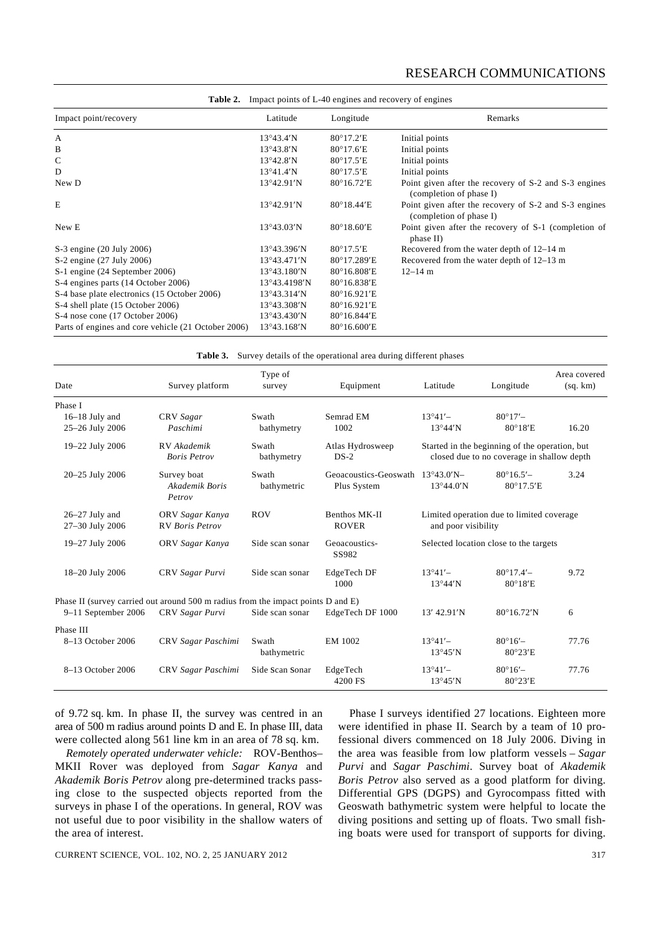### RESEARCH COMMUNICATIONS

|                                                     | <b>Table 2.</b> Impact points of L-40 engines and recovery of engines |                               |                                                                                  |  |  |
|-----------------------------------------------------|-----------------------------------------------------------------------|-------------------------------|----------------------------------------------------------------------------------|--|--|
| Impact point/recovery                               | Latitude                                                              | Longitude                     | Remarks                                                                          |  |  |
| А                                                   | $13^{\circ}43.4^{\prime}N$                                            | $80^{\circ}17.2$ 'E           | Initial points                                                                   |  |  |
| B                                                   | $13^{\circ}43.8'$ N                                                   | $80^{\circ}17.6$ <sup>E</sup> | Initial points                                                                   |  |  |
| C                                                   | $13^{\circ}42.8'N$                                                    | $80^{\circ}17.5$ 'E           | Initial points                                                                   |  |  |
| D                                                   | 13°41.4'N                                                             | $80^{\circ}17.5$ 'E           | Initial points                                                                   |  |  |
| New D                                               | 13°42.91'N                                                            | 80°16.72'E                    | Point given after the recovery of S-2 and S-3 engines<br>(completion of phase I) |  |  |
| E                                                   | 13°42.91'N                                                            | 80°18.44'E                    | Point given after the recovery of S-2 and S-3 engines<br>(completion of phase I) |  |  |
| New E                                               | 13°43.03'N                                                            | $80^{\circ}18.60$ 'E          | Point given after the recovery of S-1 (completion of<br>phase II)                |  |  |
| S-3 engine (20 July 2006)                           | $13^{\circ}43.396'$ N                                                 | 80°17.5'E                     | Recovered from the water depth of 12–14 m                                        |  |  |
| S-2 engine (27 July 2006)                           | $13^{\circ}43.471'N$                                                  | 80°17.289'E                   | Recovered from the water depth of 12–13 m                                        |  |  |
| S-1 engine (24 September 2006)                      | $13^{\circ}43.180'$ N                                                 | 80°16.808'E                   | $12 - 14$ m                                                                      |  |  |
| S-4 engines parts (14 October 2006)                 | 13°43.4198'N                                                          | 80°16.838'E                   |                                                                                  |  |  |
| S-4 base plate electronics (15 October 2006)        | $13^{\circ}43.314'$ N                                                 | 80°16.921'E                   |                                                                                  |  |  |
| S-4 shell plate (15 October 2006)                   | $13^{\circ}43.308'$ N                                                 | 80°16.921'E                   |                                                                                  |  |  |
| S-4 nose cone (17 October 2006)                     | $13^{\circ}43.430'$ N                                                 | 80°16.844'E                   |                                                                                  |  |  |
| Parts of engines and core vehicle (21 October 2006) | 13°43.168'N                                                           | 80°16.600'E                   |                                                                                  |  |  |

Table 3. Survey details of the operational area during different phases

| Date                                                                             | Survey platform                           | Type of<br>survey    | Equipment                                       | Latitude                                                                                     | Longitude                              | Area covered<br>(sq. km) |
|----------------------------------------------------------------------------------|-------------------------------------------|----------------------|-------------------------------------------------|----------------------------------------------------------------------------------------------|----------------------------------------|--------------------------|
| Phase I                                                                          |                                           |                      |                                                 |                                                                                              |                                        |                          |
| 16-18 July and                                                                   | CRV Sagar                                 | Swath                | Semrad EM                                       | $13^{\circ}41'$                                                                              | $80^{\circ}17'$ -                      |                          |
| 25-26 July 2006                                                                  | Paschimi                                  | bathymetry           | 1002                                            | 13°44'N                                                                                      | 80°18'E                                | 16.20                    |
| 19-22 July 2006                                                                  | RV Akademik<br><b>Boris Petrov</b>        | Swath<br>bathymetry  | Atlas Hydrosweep<br>$DS-2$                      | Started in the beginning of the operation, but<br>closed due to no coverage in shallow depth |                                        |                          |
| 20-25 July 2006                                                                  | Survey boat<br>Akademik Boris<br>Petrov   | Swath<br>bathymetric | Geoacoustics-Geoswath 13°43.0'N-<br>Plus System | $13^{\circ}44.0'$ N                                                                          | $80^{\circ}16.5'$<br>80°17.5'E         | 3.24                     |
| $26-27$ July and<br>27-30 July 2006                                              | ORV Sagar Kanya<br><b>RV</b> Boris Petrov | <b>ROV</b>           | Benthos MK-II<br><b>ROVER</b>                   | Limited operation due to limited coverage<br>and poor visibility                             |                                        |                          |
| 19-27 July 2006                                                                  | ORV Sagar Kanya                           | Side scan sonar      | Geoacoustics-<br>SS982                          | Selected location close to the targets                                                       |                                        |                          |
| 18-20 July 2006                                                                  | CRV Sagar Purvi                           | Side scan sonar      | EdgeTech DF<br>1000                             | $13°41' -$<br>$13°44'$ N                                                                     | $80^{\circ}17.4'$<br>$80^{\circ}18$ 'E | 9.72                     |
| Phase II (survey carried out around 500 m radius from the impact points D and E) |                                           |                      |                                                 |                                                                                              |                                        |                          |
| $9-11$ September 2006                                                            | CRV Sagar Purvi                           | Side scan sonar      | EdgeTech DF 1000                                | 13' 42.91'N                                                                                  | 80°16.72'N                             | 6                        |
| Phase III                                                                        |                                           |                      |                                                 |                                                                                              |                                        |                          |
| 8-13 October 2006                                                                | CRV Sagar Paschimi                        | Swath<br>bathymetric | EM 1002                                         | $13°41' -$<br>$13°45'$ N                                                                     | $80^{\circ}16'$<br>$80^{\circ}23'E$    | 77.76                    |
| 8-13 October 2006                                                                | CRV Sagar Paschimi                        | Side Scan Sonar      | EdgeTech<br>4200 FS                             | $13°41' -$<br>$13^{\circ}45'$ N                                                              | $80^{\circ}16'$<br>$80^{\circ}23'E$    | 77.76                    |

of 9.72 sq. km. In phase II, the survey was centred in an area of 500 m radius around points D and E. In phase III, data were collected along 561 line km in an area of 78 sq. km.

*Remotely operated underwater vehicle:* ROV-Benthos– MKII Rover was deployed from *Sagar Kanya* and *Akademik Boris Petrov* along pre-determined tracks passing close to the suspected objects reported from the surveys in phase I of the operations. In general, ROV was not useful due to poor visibility in the shallow waters of the area of interest.

 Phase I surveys identified 27 locations. Eighteen more were identified in phase II. Search by a team of 10 professional divers commenced on 18 July 2006. Diving in the area was feasible from low platform vessels – *Sagar Purvi* and *Sagar Paschimi*. Survey boat of *Akademik Boris Petrov* also served as a good platform for diving. Differential GPS (DGPS) and Gyrocompass fitted with Geoswath bathymetric system were helpful to locate the diving positions and setting up of floats. Two small fishing boats were used for transport of supports for diving.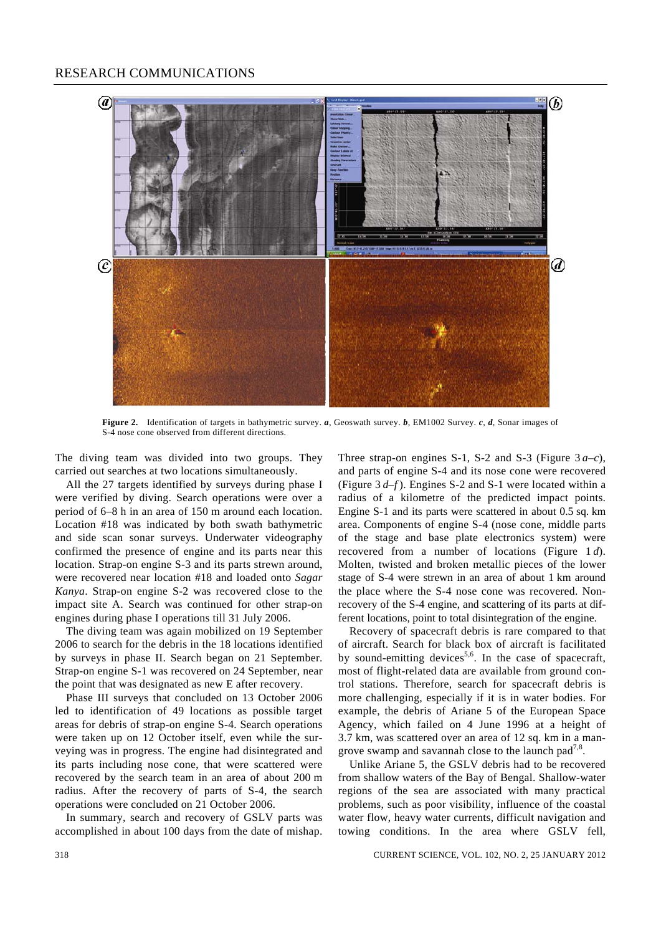#### RESEARCH COMMUNICATIONS



**Figure 2.** Identification of targets in bathymetric survey. *a*, Geoswath survey. *b*, EM1002 Survey. *c*, *d*, Sonar images of S-4 nose cone observed from different directions.

The diving team was divided into two groups. They carried out searches at two locations simultaneously.

 All the 27 targets identified by surveys during phase I were verified by diving. Search operations were over a period of 6–8 h in an area of 150 m around each location. Location #18 was indicated by both swath bathymetric and side scan sonar surveys. Underwater videography confirmed the presence of engine and its parts near this location. Strap-on engine S-3 and its parts strewn around, were recovered near location #18 and loaded onto *Sagar Kanya*. Strap-on engine S-2 was recovered close to the impact site A. Search was continued for other strap-on engines during phase I operations till 31 July 2006.

 The diving team was again mobilized on 19 September 2006 to search for the debris in the 18 locations identified by surveys in phase II. Search began on 21 September. Strap-on engine S-1 was recovered on 24 September, near the point that was designated as new E after recovery.

 Phase III surveys that concluded on 13 October 2006 led to identification of 49 locations as possible target areas for debris of strap-on engine S-4. Search operations were taken up on 12 October itself, even while the surveying was in progress. The engine had disintegrated and its parts including nose cone, that were scattered were recovered by the search team in an area of about 200 m radius. After the recovery of parts of S-4, the search operations were concluded on 21 October 2006.

 In summary, search and recovery of GSLV parts was accomplished in about 100 days from the date of mishap. Three strap-on engines S-1, S-2 and S-3 (Figure  $3a-c$ ), and parts of engine S-4 and its nose cone were recovered (Figure 3 *d*–*f* ). Engines S-2 and S-1 were located within a radius of a kilometre of the predicted impact points. Engine S-1 and its parts were scattered in about 0.5 sq. km area. Components of engine S-4 (nose cone, middle parts of the stage and base plate electronics system) were recovered from a number of locations (Figure 1 *d*). Molten, twisted and broken metallic pieces of the lower stage of S-4 were strewn in an area of about 1 km around the place where the S-4 nose cone was recovered. Nonrecovery of the S-4 engine, and scattering of its parts at different locations, point to total disintegration of the engine.

 Recovery of spacecraft debris is rare compared to that of aircraft. Search for black box of aircraft is facilitated by sound-emitting devices<sup>5,6</sup>. In the case of spacecraft, most of flight-related data are available from ground control stations. Therefore, search for spacecraft debris is more challenging, especially if it is in water bodies. For example, the debris of Ariane 5 of the European Space Agency, which failed on 4 June 1996 at a height of 3.7 km, was scattered over an area of 12 sq. km in a mangrove swamp and savannah close to the launch pad<sup>7,8</sup>.

 Unlike Ariane 5, the GSLV debris had to be recovered from shallow waters of the Bay of Bengal. Shallow-water regions of the sea are associated with many practical problems, such as poor visibility, influence of the coastal water flow, heavy water currents, difficult navigation and towing conditions. In the area where GSLV fell,